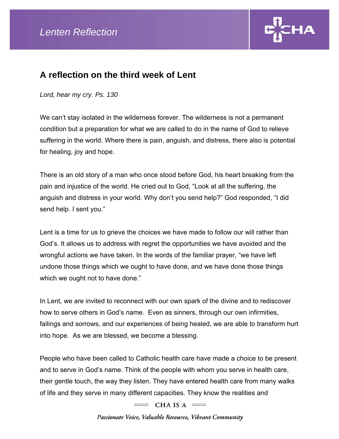

## **A reflection on the third week of Lent**

*Lord, hear my cry. Ps. 130* 

We can't stay isolated in the wilderness forever. The wilderness is not a permanent condition but a preparation for what we are called to do in the name of God to relieve suffering in the world. Where there is pain, anguish, and distress, there also is potential for healing, joy and hope.

There is an old story of a man who once stood before God, his heart breaking from the pain and injustice of the world. He cried out to God, "Look at all the suffering, the anguish and distress in your world. Why don't you send help?" God responded, "I did send help. I sent you."

Lent is a time for us to grieve the choices we have made to follow our will rather than God's. It allows us to address with regret the opportunities we have avoided and the wrongful actions we have taken. In the words of the familiar prayer, "we have left undone those things which we ought to have done, and we have done those things which we ought not to have done."

In Lent, we are invited to reconnect with our own spark of the divine and to rediscover how to serve others in God's name. Even as sinners, through our own infirmities, failings and sorrows, and our experiences of being healed, we are able to transform hurt into hope. As we are blessed, we become a blessing.

People who have been called to Catholic health care have made a choice to be present and to serve in God's name. Think of the people with whom you serve in health care, their gentle touch, the way they listen. They have entered health care from many walks of life and they serve in many different capacities. They know the realities and

 $=$  CHA IS A  $=$ 

Passionate Voice, Valuable Resource, Vibrant Community